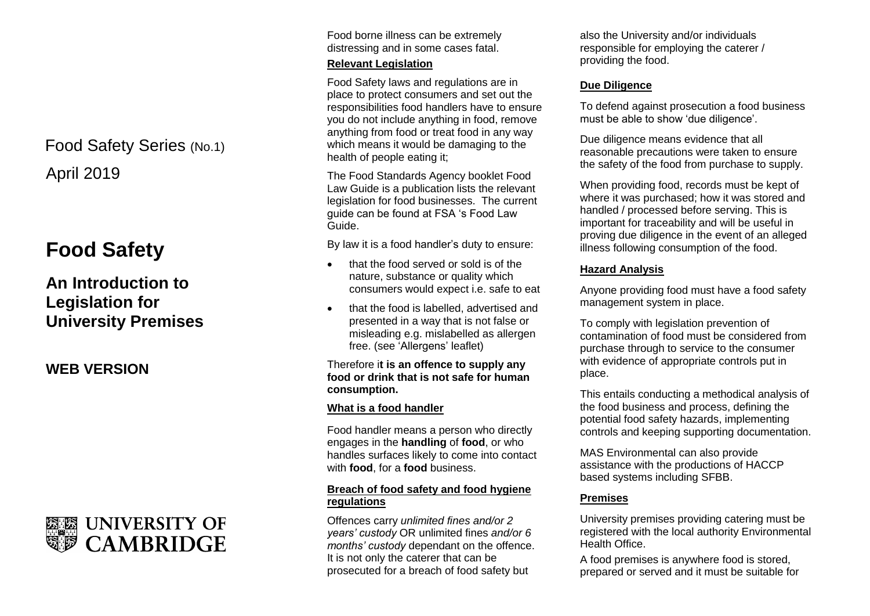April 2019 Food Safety Series (No.1)

# **Food Safety**

## **An Introduction to Legislation for University Premises**

**WEB VERSION**



Food borne illness can be extremely distressing and in some cases fatal.

#### **Relevant Legislation**

Food Safety laws and regulations are in place to protect consumers and set out the responsibilities food handlers have to ensure you do not include anything in food, remove anything from food or treat food in any way which means it would be damaging to the health of people eating it;

The Food Standards Agency booklet Food Law Guide is a publication lists the relevant legislation for food businesses. The current guide can be found at FSA 's Food Law Guide.

By law it is a food handler's duty to ensure:

- that the food served or sold is of the nature, substance or quality which consumers would expect i.e. safe to eat
- that the food is labelled, advertised and presented in a way that is not false or misleading e.g. mislabelled as allergen free. (see 'Allergens' leaflet)

#### Therefore i**t is an offence to supply any food or drink that is not safe for human consumption.**

### **What is a food handler**

Food handler means a person who directly engages in the **handling** of **food**, or who handles surfaces likely to come into contact with **food**, for a **food** business.

### **Breach of food safety and food hygiene regulations**

Offences carry *unlimited fines and/or 2 years' custody* OR unlimited fines *and/or 6 months' custody* dependant on the offence. It is not only the caterer that can be prosecuted for a breach of food safety but

also the University and/or individuals responsible for employing the caterer / providing the food.

#### **Due Diligence**

To defend against prosecution a food business must be able to show 'due diligence'.

Due diligence means evidence that all reasonable precautions were taken to ensure the safety of the food from purchase to supply.

When providing food, records must be kept of where it was purchased; how it was stored and handled / processed before serving. This is important for traceability and will be useful in proving due diligence in the event of an alleged illness following consumption of the food.

#### **Hazard Analysis**

Anyone providing food must have a food safety management system in place.

To comply with legislation prevention of contamination of food must be considered from purchase through to service to the consumer with evidence of appropriate controls put in place.

This entails conducting a methodical analysis of the food business and process, defining the potential food safety hazards, implementing controls and keeping supporting documentation.

MAS Environmental can also provide assistance with the productions of HACCP based systems including SFBB.

#### **Premises**

University premises providing catering must be registered with the local authority Environmental Health Office.

A food premises is anywhere food is stored, prepared or served and it must be suitable for